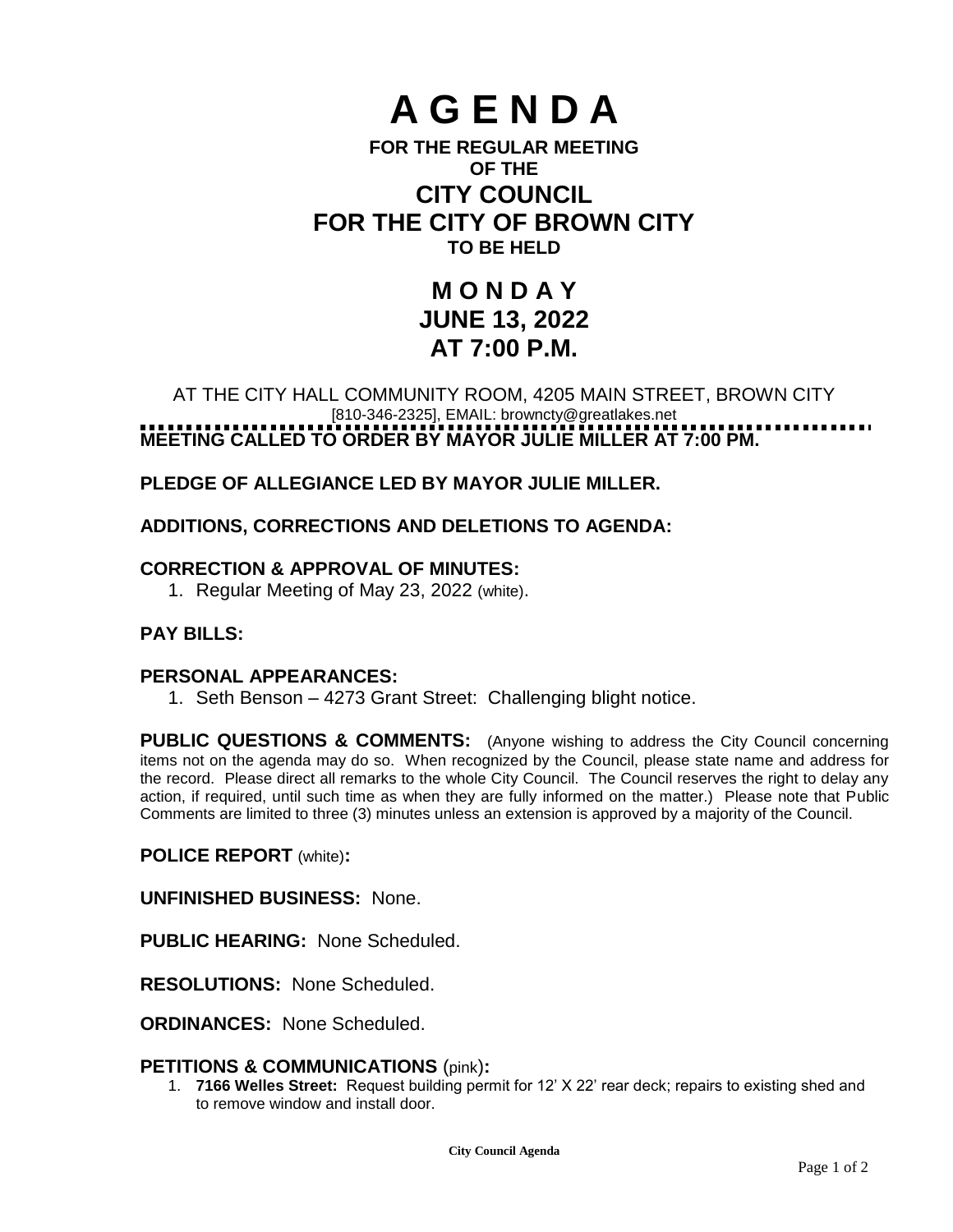# **A G E N D A**

# **FOR THE REGULAR MEETING OF THE CITY COUNCIL FOR THE CITY OF BROWN CITY TO BE HELD**

# **M O N D A Y JUNE 13, 2022 AT 7:00 P.M.**

# AT THE CITY HALL COMMUNITY ROOM, 4205 MAIN STREET, BROWN CITY [810-346-2325], EMAIL: [browncty@greatlakes.net](mailto:browncty@greatlakes.net) **MEETING CALLED TO ORDER BY MAYOR JULIE MILLER AT 7:00 PM.**

# **PLEDGE OF ALLEGIANCE LED BY MAYOR JULIE MILLER.**

# **ADDITIONS, CORRECTIONS AND DELETIONS TO AGENDA:**

# **CORRECTION & APPROVAL OF MINUTES:**

1. Regular Meeting of May 23, 2022 (white).

# **PAY BILLS:**

# **PERSONAL APPEARANCES:**

1. Seth Benson – 4273 Grant Street: Challenging blight notice.

**PUBLIC QUESTIONS & COMMENTS:** (Anyone wishing to address the City Council concerning items not on the agenda may do so. When recognized by the Council, please state name and address for the record. Please direct all remarks to the whole City Council. The Council reserves the right to delay any action, if required, until such time as when they are fully informed on the matter.) Please note that Public Comments are limited to three (3) minutes unless an extension is approved by a majority of the Council.

#### **POLICE REPORT** (white)**:**

**UNFINISHED BUSINESS:** None.

**PUBLIC HEARING:** None Scheduled.

**RESOLUTIONS:** None Scheduled.

**ORDINANCES:** None Scheduled.

# **PETITIONS & COMMUNICATIONS** (pink)**:**

1. **7166 Welles Street:** Request building permit for 12' X 22' rear deck; repairs to existing shed and to remove window and install door.